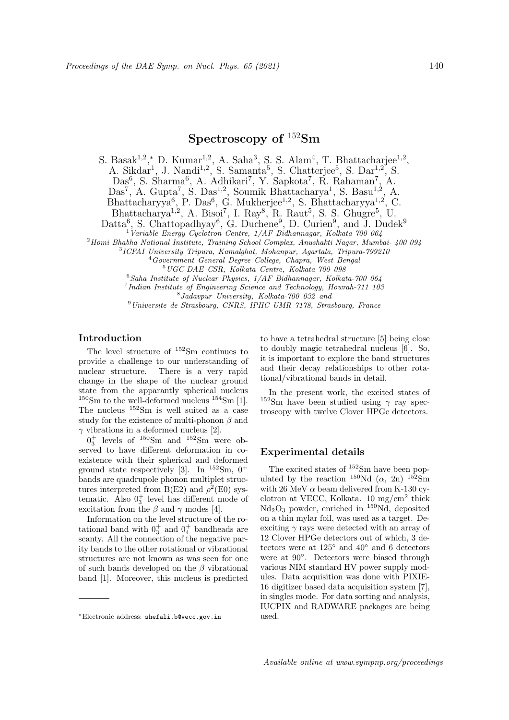# Spectroscopy of <sup>152</sup>Sm

S. Basak<sup>1,2</sup>,\* D. Kumar<sup>1,2</sup>, A. Saha<sup>3</sup>, S. S. Alam<sup>4</sup>, T. Bhattacharjee<sup>1,2</sup>, A. Sikdar<sup>1</sup>, J. Nandi<sup>1,2</sup>, S. Samanta<sup>5</sup>, S. Chatterjee<sup>5</sup>, S. Dar<sup>1,2</sup>, S. Das<sup>6</sup>, S. Sharma<sup>6</sup>, A. Adhikari<sup>7</sup>, Y. Sapkota<sup>7</sup>, R. Rahaman<sup>7</sup>, A. Das<sup>7</sup>, A. Gupta<sup>7</sup>, S. Das<sup>1,2</sup>, Soumik Bhattacharya<sup>1</sup>, S. Basu<sup>1,2</sup>, A. Bhattacharyya<sup>6</sup>, P. Das<sup>6</sup>, G. Mukherjee<sup>1,2</sup>, S. Bhattacharyya<sup>1,2</sup>, C. Bhattacharya<sup>1,2</sup>, A. Bisoi<sup>7</sup>, I. Ray<sup>8</sup>, R. Raut<sup>5</sup>, S. S. Ghugre<sup>5</sup>, U.

Datta<sup>6</sup>, S. Chattopadhyay<sup>6</sup>, G. Duchene<sup>9</sup>, D. Curien<sup>9</sup>, and J. Dudek<sup>9</sup>

 $1$ Variable Energy Cyclotron Centre,  $1/AF$  Bidhannagar, Kolkata-700 064

<sup>2</sup>Homi Bhabha National Institute, Training School Complex, Anushakti Nagar, Mumbai- 400 094

3 ICFAI University Tripura, Kamalghat, Mohanpur, Agartala, Tripura-799210

<sup>4</sup>Government General Degree College, Chapra, West Bengal <sup>5</sup>UGC-DAE CSR, Kolkata Centre, Kolkata-700 098

 $6$ Saha Institute of Nuclear Physics,  $1/AF$  Bidhannagar, Kolkata-700 064

7 Indian Institute of Engineering Science and Technology, Howrah-711 103

8 Jadavpur University, Kolkata-700 032 and

<sup>9</sup>Universite de Strasbourg, CNRS, IPHC UMR 7178, Strasbourg, France

## Introduction

The level structure of <sup>152</sup>Sm continues to provide a challenge to our understanding of nuclear structure. There is a very rapid change in the shape of the nuclear ground state from the apparantly spherical nucleus  $150$ Sm to the well-deformed nucleus  $154$ Sm [1]. The nucleus <sup>152</sup>Sm is well suited as a case study for the existence of multi-phonon  $\beta$  and  $\gamma$  vibrations in a deformed nucleus [2].

 $0_3^+$  levels of  $150$ Sm and  $152$ Sm were observed to have different deformation in coexistence with their spherical and deformed ground state respectively [3]. In  $152\text{Sm}$ , 0<sup>+</sup> bands are quadrupole phonon multiplet structures interpreted from  $B(E2)$  and  $\rho^2(E0)$  systematic. Also  $0_3^+$  level has different mode of excitation from the  $\beta$  and  $\gamma$  modes [4].

Information on the level structure of the rotational band with  $0_3^+$  and  $0_4^+$  bandheads are scanty. All the connection of the negative parity bands to the other rotational or vibrational structures are not known as was seen for one of such bands developed on the  $\beta$  vibrational band [1]. Moreover, this nucleus is predicted

to have a tetrahedral structure [5] being close to doubly magic tetrahedral nucleus [6]. So, it is important to explore the band structures and their decay relationships to other rotational/vibrational bands in detail.

In the present work, the excited states of <sup>152</sup>Sm have been studied using  $\gamma$  ray spectroscopy with twelve Clover HPGe detectors.

## Experimental details

The excited states of <sup>152</sup>Sm have been populated by the reaction  $^{150}\text{Nd}$  ( $\alpha$ , 2n)  $^{152}\text{Sm}$ with 26 MeV  $\alpha$  beam delivered from K-130 cyclotron at VECC, Kolkata. 10 mg/cm<sup>2</sup> thick  $Nd<sub>2</sub>O<sub>3</sub>$  powder, enriched in <sup>150</sup>Nd, deposited on a thin mylar foil, was used as a target. Deexciting  $\gamma$  rays were detected with an array of 12 Clover HPGe detectors out of which, 3 detectors were at 125◦ and 40◦ and 6 detectors were at 90◦ . Detectors were biased through various NIM standard HV power supply modules. Data acquisition was done with PIXIE-16 digitizer based data acquisition system [7], in singles mode. For data sorting and analysis, IUCPIX and RADWARE packages are being used.

<sup>∗</sup>Electronic address: shefali.b@vecc.gov.in